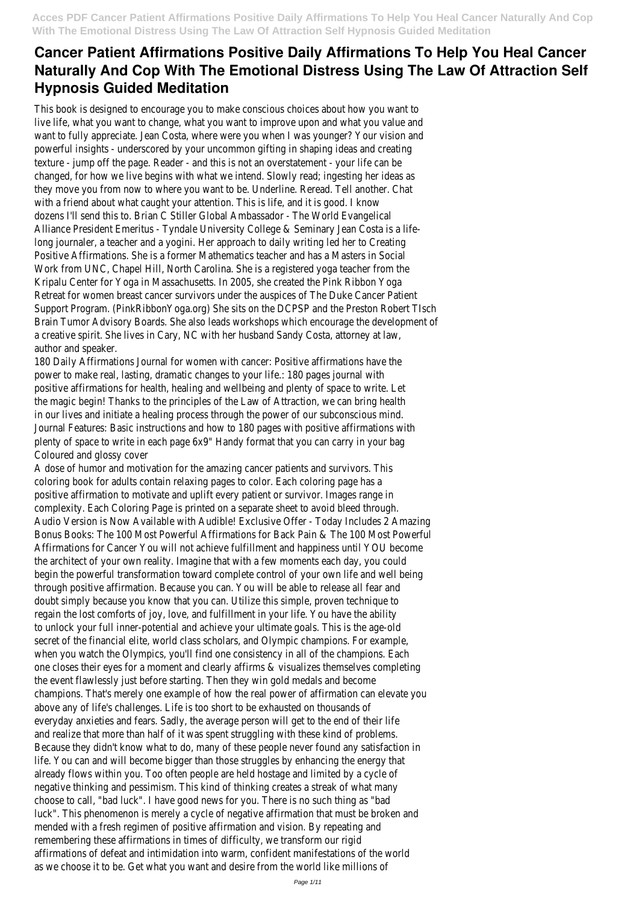This book is designed to encourage you to make conscious choices about how you want to live life, what you want to change, what you want to improve upon and what you value and want to fully appreciate. Jean Costa, where were you when I was younger? Your vision and powerful insights - underscored by your uncommon gifting in shaping ideas and creating texture - jump off the page. Reader - and this is not an overstatement - your life can be changed, for how we live begins with what we intend. Slowly read; ingesting her ideas as they move you from now to where you want to be. Underline. Reread. Tell another. Chat with a friend about what caught your attention. This is life, and it is good. I know dozens I'll send this to. Brian C Stiller Global Ambassador - The World Evangelical Alliance President Emeritus - Tyndale University College & Seminary Jean Costa is a lifelong journaler, a teacher and a yogini. Her approach to daily writing led her to Creating Positive Affirmations. She is a former Mathematics teacher and has a Masters in Social Work from UNC, Chapel Hill, North Carolina. She is a registered yoga teacher from the Kripalu Center for Yoga in Massachusetts. In 2005, she created the Pink Ribbon Yoga Retreat for women breast cancer survivors under the auspices of The Duke Cancer Patient Support Program. (PinkRibbonYoga.org) She sits on the DCPSP and the Preston Robert TIsch Brain Tumor Advisory Boards. She also leads workshops which encourage the development of a creative spirit. She lives in Cary, NC with her husband Sandy Costa, attorney at law, author and speaker.

180 Daily Affirmations Journal for women with cancer: Positive affirmations have the power to make real, lasting, dramatic changes to your life.: 180 pages journal with positive affirmations for health, healing and wellbeing and plenty of space to write. Let the magic begin! Thanks to the principles of the Law of Attraction, we can bring health in our lives and initiate a healing process through the power of our subconscious mind. Journal Features: Basic instructions and how to 180 pages with positive affirmations with plenty of space to write in each page 6x9" Handy format that you can carry in your bag Coloured and glossy cover

A dose of humor and motivation for the amazing cancer patients and survivors. This coloring book for adults contain relaxing pages to color. Each coloring page has a positive affirmation to motivate and uplift every patient or survivor. Images range in complexity. Each Coloring Page is printed on a separate sheet to avoid bleed through. Audio Version is Now Available with Audible! Exclusive Offer - Today Includes 2 Amazing Bonus Books: The 100 Most Powerful Affirmations for Back Pain & The 100 Most Powerful Affirmations for Cancer You will not achieve fulfillment and happiness until YOU become the architect of your own reality. Imagine that with a few moments each day, you could begin the powerful transformation toward complete control of your own life and well being through positive affirmation. Because you can. You will be able to release all fear and doubt simply because you know that you can. Utilize this simple, proven technique to regain the lost comforts of joy, love, and fulfillment in your life. You have the ability to unlock your full inner-potential and achieve your ultimate goals. This is the age-old secret of the financial elite, world class scholars, and Olympic champions. For example, when you watch the Olympics, you'll find one consistency in all of the champions. Each one closes their eyes for a moment and clearly affirms & visualizes themselves completing the event flawlessly just before starting. Then they win gold medals and become champions. That's merely one example of how the real power of affirmation can elevate you above any of life's challenges. Life is too short to be exhausted on thousands of everyday anxieties and fears. Sadly, the average person will get to the end of their life and realize that more than half of it was spent struggling with these kind of problems. Because they didn't know what to do, many of these people never found any satisfaction in life. You can and will become bigger than those struggles by enhancing the energy that already flows within you. Too often people are held hostage and limited by a cycle of negative thinking and pessimism. This kind of thinking creates a streak of what many choose to call, "bad luck". I have good news for you. There is no such thing as "bad luck". This phenomenon is merely a cycle of negative affirmation that must be broken and mended with a fresh regimen of positive affirmation and vision. By repeating and remembering these affirmations in times of difficulty, we transform our rigid affirmations of defeat and intimidation into warm, confident manifestations of the world as we choose it to be. Get what you want and desire from the world like millions of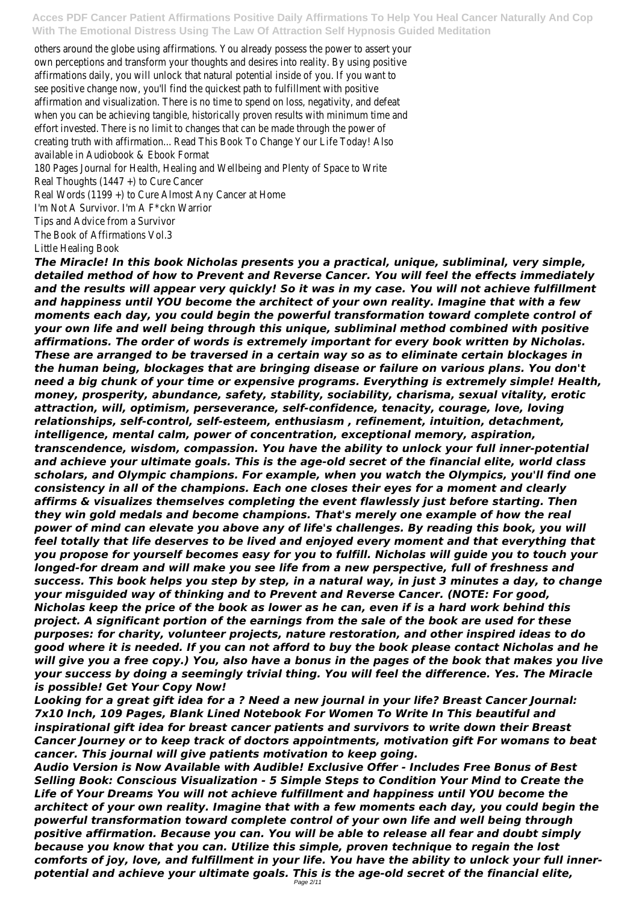others around the globe using affirmations. You already possess the power to assert your own perceptions and transform your thoughts and desires into reality. By using positive affirmations daily, you will unlock that natural potential inside of you. If you want to see positive change now, you'll find the quickest path to fulfillment with positive affirmation and visualization. There is no time to spend on loss, negativity, and defeat when you can be achieving tangible, historically proven results with minimum time and effort invested. There is no limit to changes that can be made through the power of creating truth with affirmation... Read This Book To Change Your Life Today! Also available in Audiobook & Ebook Format

180 Pages Journal for Health, Healing and Wellbeing and Plenty of Space to Write Real Thoughts (1447 +) to Cure Cancer

Real Words (1199 +) to Cure Almost Any Cancer at Home I'm Not A Survivor. I'm A F\*ckn Warrior Tips and Advice from a Survivor The Book of Affirmations Vol.3 Little Healing Book

*The Miracle! In this book Nicholas presents you a practical, unique, subliminal, very simple, detailed method of how to Prevent and Reverse Cancer. You will feel the effects immediately and the results will appear very quickly! So it was in my case. You will not achieve fulfillment and happiness until YOU become the architect of your own reality. Imagine that with a few moments each day, you could begin the powerful transformation toward complete control of your own life and well being through this unique, subliminal method combined with positive affirmations. The order of words is extremely important for every book written by Nicholas. These are arranged to be traversed in a certain way so as to eliminate certain blockages in the human being, blockages that are bringing disease or failure on various plans. You don't need a big chunk of your time or expensive programs. Everything is extremely simple! Health, money, prosperity, abundance, safety, stability, sociability, charisma, sexual vitality, erotic attraction, will, optimism, perseverance, self-confidence, tenacity, courage, love, loving relationships, self-control, self-esteem, enthusiasm , refinement, intuition, detachment, intelligence, mental calm, power of concentration, exceptional memory, aspiration, transcendence, wisdom, compassion. You have the ability to unlock your full inner-potential and achieve your ultimate goals. This is the age-old secret of the financial elite, world class scholars, and Olympic champions. For example, when you watch the Olympics, you'll find one consistency in all of the champions. Each one closes their eyes for a moment and clearly affirms & visualizes themselves completing the event flawlessly just before starting. Then they win gold medals and become champions. That's merely one example of how the real power of mind can elevate you above any of life's challenges. By reading this book, you will feel totally that life deserves to be lived and enjoyed every moment and that everything that you propose for yourself becomes easy for you to fulfill. Nicholas will guide you to touch your longed-for dream and will make you see life from a new perspective, full of freshness and success. This book helps you step by step, in a natural way, in just 3 minutes a day, to change your misguided way of thinking and to Prevent and Reverse Cancer. (NOTE: For good, Nicholas keep the price of the book as lower as he can, even if is a hard work behind this project. A significant portion of the earnings from the sale of the book are used for these purposes: for charity, volunteer projects, nature restoration, and other inspired ideas to do good where it is needed. If you can not afford to buy the book please contact Nicholas and he will give you a free copy.) You, also have a bonus in the pages of the book that makes you live your success by doing a seemingly trivial thing. You will feel the difference. Yes. The Miracle*

*is possible! Get Your Copy Now!*

*Looking for a great gift idea for a ? Need a new journal in your life? Breast Cancer Journal: 7x10 Inch, 109 Pages, Blank Lined Notebook For Women To Write In This beautiful and inspirational gift idea for breast cancer patients and survivors to write down their Breast Cancer Journey or to keep track of doctors appointments, motivation gift For womans to beat cancer. This journal will give patients motivation to keep going.*

*Audio Version is Now Available with Audible! Exclusive Offer - Includes Free Bonus of Best Selling Book: Conscious Visualization - 5 Simple Steps to Condition Your Mind to Create the Life of Your Dreams You will not achieve fulfillment and happiness until YOU become the architect of your own reality. Imagine that with a few moments each day, you could begin the powerful transformation toward complete control of your own life and well being through positive affirmation. Because you can. You will be able to release all fear and doubt simply because you know that you can. Utilize this simple, proven technique to regain the lost comforts of joy, love, and fulfillment in your life. You have the ability to unlock your full innerpotential and achieve your ultimate goals. This is the age-old secret of the financial elite,* Page 2/11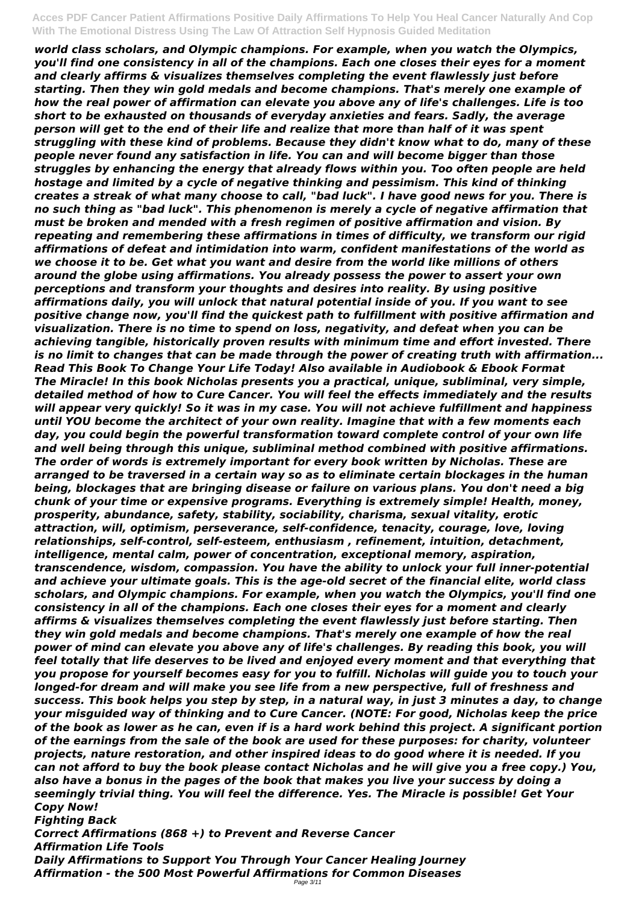*world class scholars, and Olympic champions. For example, when you watch the Olympics, you'll find one consistency in all of the champions. Each one closes their eyes for a moment and clearly affirms & visualizes themselves completing the event flawlessly just before starting. Then they win gold medals and become champions. That's merely one example of how the real power of affirmation can elevate you above any of life's challenges. Life is too short to be exhausted on thousands of everyday anxieties and fears. Sadly, the average person will get to the end of their life and realize that more than half of it was spent struggling with these kind of problems. Because they didn't know what to do, many of these people never found any satisfaction in life. You can and will become bigger than those struggles by enhancing the energy that already flows within you. Too often people are held hostage and limited by a cycle of negative thinking and pessimism. This kind of thinking creates a streak of what many choose to call, "bad luck". I have good news for you. There is no such thing as "bad luck". This phenomenon is merely a cycle of negative affirmation that must be broken and mended with a fresh regimen of positive affirmation and vision. By repeating and remembering these affirmations in times of difficulty, we transform our rigid affirmations of defeat and intimidation into warm, confident manifestations of the world as we choose it to be. Get what you want and desire from the world like millions of others around the globe using affirmations. You already possess the power to assert your own perceptions and transform your thoughts and desires into reality. By using positive affirmations daily, you will unlock that natural potential inside of you. If you want to see positive change now, you'll find the quickest path to fulfillment with positive affirmation and visualization. There is no time to spend on loss, negativity, and defeat when you can be achieving tangible, historically proven results with minimum time and effort invested. There is no limit to changes that can be made through the power of creating truth with affirmation... Read This Book To Change Your Life Today! Also available in Audiobook & Ebook Format The Miracle! In this book Nicholas presents you a practical, unique, subliminal, very simple, detailed method of how to Cure Cancer. You will feel the effects immediately and the results will appear very quickly! So it was in my case. You will not achieve fulfillment and happiness until YOU become the architect of your own reality. Imagine that with a few moments each day, you could begin the powerful transformation toward complete control of your own life and well being through this unique, subliminal method combined with positive affirmations. The order of words is extremely important for every book written by Nicholas. These are arranged to be traversed in a certain way so as to eliminate certain blockages in the human being, blockages that are bringing disease or failure on various plans. You don't need a big chunk of your time or expensive programs. Everything is extremely simple! Health, money, prosperity, abundance, safety, stability, sociability, charisma, sexual vitality, erotic attraction, will, optimism, perseverance, self-confidence, tenacity, courage, love, loving relationships, self-control, self-esteem, enthusiasm , refinement, intuition, detachment, intelligence, mental calm, power of concentration, exceptional memory, aspiration, transcendence, wisdom, compassion. You have the ability to unlock your full inner-potential and achieve your ultimate goals. This is the age-old secret of the financial elite, world class scholars, and Olympic champions. For example, when you watch the Olympics, you'll find one consistency in all of the champions. Each one closes their eyes for a moment and clearly affirms & visualizes themselves completing the event flawlessly just before starting. Then they win gold medals and become champions. That's merely one example of how the real power of mind can elevate you above any of life's challenges. By reading this book, you will feel totally that life deserves to be lived and enjoyed every moment and that everything that you propose for yourself becomes easy for you to fulfill. Nicholas will guide you to touch your longed-for dream and will make you see life from a new perspective, full of freshness and success. This book helps you step by step, in a natural way, in just 3 minutes a day, to change your misguided way of thinking and to Cure Cancer. (NOTE: For good, Nicholas keep the price of the book as lower as he can, even if is a hard work behind this project. A significant portion of the earnings from the sale of the book are used for these purposes: for charity, volunteer projects, nature restoration, and other inspired ideas to do good where it is needed. If you can not afford to buy the book please contact Nicholas and he will give you a free copy.) You, also have a bonus in the pages of the book that makes you live your success by doing a seemingly trivial thing. You will feel the difference. Yes. The Miracle is possible! Get Your Copy Now! Fighting Back Correct Affirmations (868 +) to Prevent and Reverse Cancer*

*Affirmation Life Tools*

*Daily Affirmations to Support You Through Your Cancer Healing Journey Affirmation - the 500 Most Powerful Affirmations for Common Diseases* Page 3/11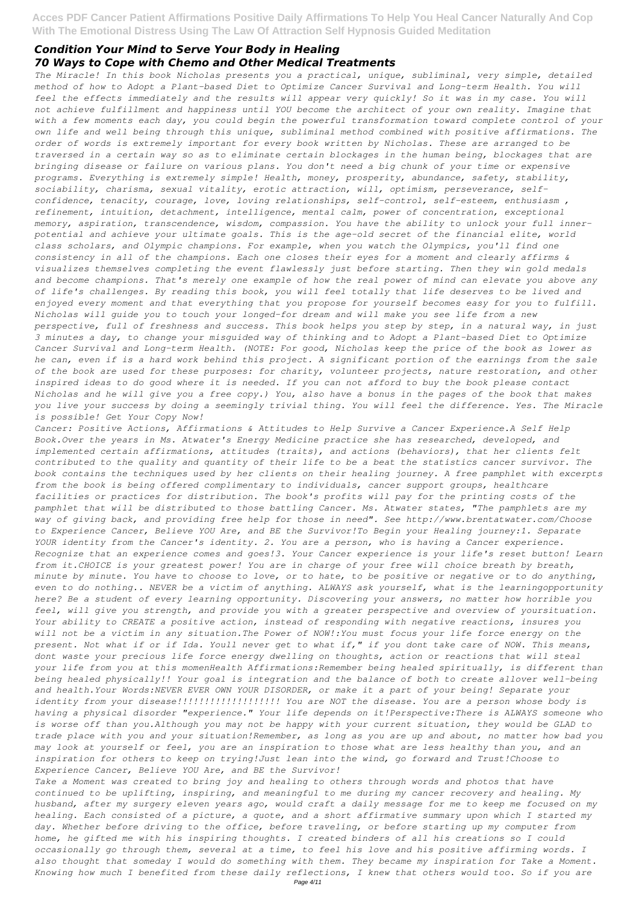## *Condition Your Mind to Serve Your Body in Healing 70 Ways to Cope with Chemo and Other Medical Treatments*

*The Miracle! In this book Nicholas presents you a practical, unique, subliminal, very simple, detailed method of how to Adopt a Plant-based Diet to Optimize Cancer Survival and Long-term Health. You will feel the effects immediately and the results will appear very quickly! So it was in my case. You will not achieve fulfillment and happiness until YOU become the architect of your own reality. Imagine that with a few moments each day, you could begin the powerful transformation toward complete control of your own life and well being through this unique, subliminal method combined with positive affirmations. The order of words is extremely important for every book written by Nicholas. These are arranged to be traversed in a certain way so as to eliminate certain blockages in the human being, blockages that are bringing disease or failure on various plans. You don't need a big chunk of your time or expensive programs. Everything is extremely simple! Health, money, prosperity, abundance, safety, stability, sociability, charisma, sexual vitality, erotic attraction, will, optimism, perseverance, selfconfidence, tenacity, courage, love, loving relationships, self-control, self-esteem, enthusiasm , refinement, intuition, detachment, intelligence, mental calm, power of concentration, exceptional memory, aspiration, transcendence, wisdom, compassion. You have the ability to unlock your full innerpotential and achieve your ultimate goals. This is the age-old secret of the financial elite, world class scholars, and Olympic champions. For example, when you watch the Olympics, you'll find one consistency in all of the champions. Each one closes their eyes for a moment and clearly affirms & visualizes themselves completing the event flawlessly just before starting. Then they win gold medals and become champions. That's merely one example of how the real power of mind can elevate you above any of life's challenges. By reading this book, you will feel totally that life deserves to be lived and enjoyed every moment and that everything that you propose for yourself becomes easy for you to fulfill. Nicholas will guide you to touch your longed-for dream and will make you see life from a new perspective, full of freshness and success. This book helps you step by step, in a natural way, in just 3 minutes a day, to change your misguided way of thinking and to Adopt a Plant-based Diet to Optimize Cancer Survival and Long-term Health. (NOTE: For good, Nicholas keep the price of the book as lower as he can, even if is a hard work behind this project. A significant portion of the earnings from the sale of the book are used for these purposes: for charity, volunteer projects, nature restoration, and other inspired ideas to do good where it is needed. If you can not afford to buy the book please contact Nicholas and he will give you a free copy.) You, also have a bonus in the pages of the book that makes you live your success by doing a seemingly trivial thing. You will feel the difference. Yes. The Miracle is possible! Get Your Copy Now!*

*Cancer: Positive Actions, Affirmations & Attitudes to Help Survive a Cancer Experience.A Self Help Book.Over the years in Ms. Atwater's Energy Medicine practice she has researched, developed, and implemented certain affirmations, attitudes (traits), and actions (behaviors), that her clients felt contributed to the quality and quantity of their life to be a beat the statistics cancer survivor. The book contains the techniques used by her clients on their healing journey. A free pamphlet with excerpts from the book is being offered complimentary to individuals, cancer support groups, healthcare facilities or practices for distribution. The book's profits will pay for the printing costs of the pamphlet that will be distributed to those battling Cancer. Ms. Atwater states, "The pamphlets are my way of giving back, and providing free help for those in need". See http://www.brentatwater.com/Choose to Experience Cancer, Believe YOU Are, and BE the Survivor!To Begin your Healing journey:1. Separate YOUR identity from the Cancer's identity. 2. You are a person, who is having a Cancer experience. Recognize that an experience comes and goes!3. Your Cancer experience is your life's reset button! Learn from it.CHOICE is your greatest power! You are in charge of your free will choice breath by breath, minute by minute. You have to choose to love, or to hate, to be positive or negative or to do anything, even to do nothing.. NEVER be a victim of anything. ALWAYS ask yourself, what is the learningopportunity here? Be a student of every learning opportunity. Discovering your answers, no matter how horrible you feel, will give you strength, and provide you with a greater perspective and overview of yoursituation. Your ability to CREATE a positive action, instead of responding with negative reactions, insures you will not be a victim in any situation.The Power of NOW!:You must focus your life force energy on the present. Not what if or if Ida. Youll never get to what if," if you dont take care of NOW. This means, dont waste your precious life force energy dwelling on thoughts, action or reactions that will steal your life from you at this momenHealth Affirmations:Remember being healed spiritually, is different than being healed physically!! Your goal is integration and the balance of both to create allover well-being*

*and health.Your Words:NEVER EVER OWN YOUR DISORDER, or make it a part of your being! Separate your identity from your disease!!!!!!!!!!!!!!!!!!! You are NOT the disease. You are a person whose body is having a physical disorder "experience." Your life depends on it!Perspective:There is ALWAYS someone who is worse off than you.Although you may not be happy with your current situation, they would be GLAD to trade place with you and your situation!Remember, as long as you are up and about, no matter how bad you may look at yourself or feel, you are an inspiration to those what are less healthy than you, and an inspiration for others to keep on trying!Just lean into the wind, go forward and Trust!Choose to Experience Cancer, Believe YOU Are, and BE the Survivor! Take a Moment was created to bring joy and healing to others through words and photos that have*

*continued to be uplifting, inspiring, and meaningful to me during my cancer recovery and healing. My husband, after my surgery eleven years ago, would craft a daily message for me to keep me focused on my healing. Each consisted of a picture, a quote, and a short affirmative summary upon which I started my day. Whether before driving to the office, before traveling, or before starting up my computer from home, he gifted me with his inspiring thoughts. I created binders of all his creations so I could occasionally go through them, several at a time, to feel his love and his positive affirming words. I also thought that someday I would do something with them. They became my inspiration for Take a Moment. Knowing how much I benefited from these daily reflections, I knew that others would too. So if you are*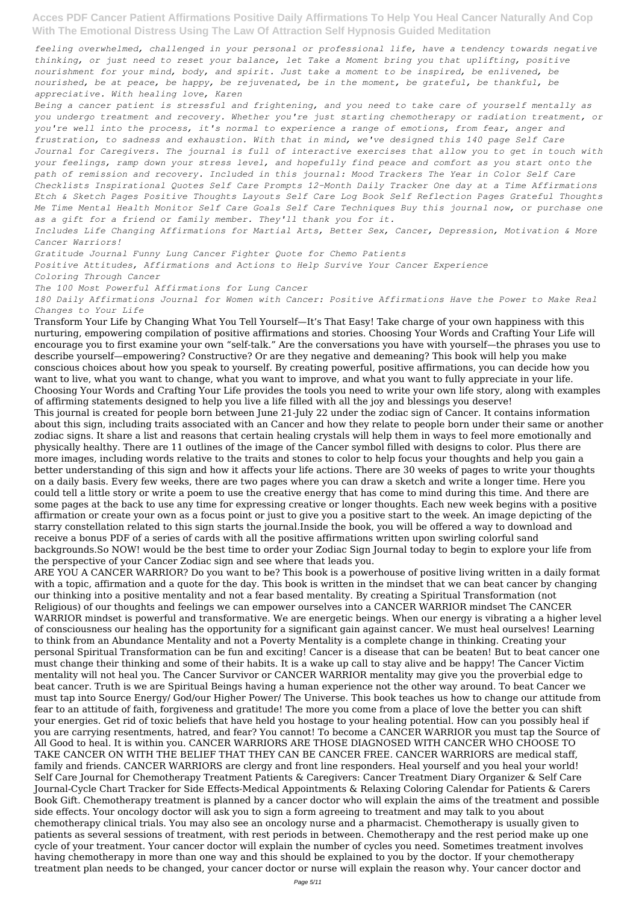*feeling overwhelmed, challenged in your personal or professional life, have a tendency towards negative thinking, or just need to reset your balance, let Take a Moment bring you that uplifting, positive nourishment for your mind, body, and spirit. Just take a moment to be inspired, be enlivened, be nourished, be at peace, be happy, be rejuvenated, be in the moment, be grateful, be thankful, be appreciative. With healing love, Karen*

*Being a cancer patient is stressful and frightening, and you need to take care of yourself mentally as you undergo treatment and recovery. Whether you're just starting chemotherapy or radiation treatment, or you're well into the process, it's normal to experience a range of emotions, from fear, anger and frustration, to sadness and exhaustion. With that in mind, we've designed this 140 page Self Care Journal for Caregivers. The journal is full of interactive exercises that allow you to get in touch with your feelings, ramp down your stress level, and hopefully find peace and comfort as you start onto the path of remission and recovery. Included in this journal: Mood Trackers The Year in Color Self Care Checklists Inspirational Quotes Self Care Prompts 12-Month Daily Tracker One day at a Time Affirmations Etch & Sketch Pages Positive Thoughts Layouts Self Care Log Book Self Reflection Pages Grateful Thoughts Me Time Mental Health Monitor Self Care Goals Self Care Techniques Buy this journal now, or purchase one as a gift for a friend or family member. They'll thank you for it.*

*Includes Life Changing Affirmations for Martial Arts, Better Sex, Cancer, Depression, Motivation & More Cancer Warriors!*

*Gratitude Journal Funny Lung Cancer Fighter Quote for Chemo Patients*

*Positive Attitudes, Affirmations and Actions to Help Survive Your Cancer Experience*

*Coloring Through Cancer*

*The 100 Most Powerful Affirmations for Lung Cancer*

*180 Daily Affirmations Journal for Women with Cancer: Positive Affirmations Have the Power to Make Real Changes to Your Life*

Transform Your Life by Changing What You Tell Yourself—It's That Easy! Take charge of your own happiness with this nurturing, empowering compilation of positive affirmations and stories. Choosing Your Words and Crafting Your Life will encourage you to first examine your own "self-talk." Are the conversations you have with yourself—the phrases you use to describe yourself—empowering? Constructive? Or are they negative and demeaning? This book will help you make conscious choices about how you speak to yourself. By creating powerful, positive affirmations, you can decide how you want to live, what you want to change, what you want to improve, and what you want to fully appreciate in your life. Choosing Your Words and Crafting Your Life provides the tools you need to write your own life story, along with examples of affirming statements designed to help you live a life filled with all the joy and blessings you deserve! This journal is created for people born between June 21-July 22 under the zodiac sign of Cancer. It contains information about this sign, including traits associated with an Cancer and how they relate to people born under their same or another zodiac signs. It share a list and reasons that certain healing crystals will help them in ways to feel more emotionally and physically healthy. There are 11 outlines of the image of the Cancer symbol filled with designs to color. Plus there are more images, including words relative to the traits and stones to color to help focus your thoughts and help you gain a better understanding of this sign and how it affects your life actions. There are 30 weeks of pages to write your thoughts on a daily basis. Every few weeks, there are two pages where you can draw a sketch and write a longer time. Here you could tell a little story or write a poem to use the creative energy that has come to mind during this time. And there are some pages at the back to use any time for expressing creative or longer thoughts. Each new week begins with a positive affirmation or create your own as a focus point or just to give you a positive start to the week. An image depicting of the starry constellation related to this sign starts the journal.Inside the book, you will be offered a way to download and receive a bonus PDF of a series of cards with all the positive affirmations written upon swirling colorful sand backgrounds.So NOW! would be the best time to order your Zodiac Sign Journal today to begin to explore your life from the perspective of your Cancer Zodiac sign and see where that leads you.

ARE YOU A CANCER WARRIOR? Do you want to be? This book is a powerhouse of positive living written in a daily format with a topic, affirmation and a quote for the day. This book is written in the mindset that we can beat cancer by changing our thinking into a positive mentality and not a fear based mentality. By creating a Spiritual Transformation (not Religious) of our thoughts and feelings we can empower ourselves into a CANCER WARRIOR mindset The CANCER WARRIOR mindset is powerful and transformative. We are energetic beings. When our energy is vibrating a a higher level of consciousness our healing has the opportunity for a significant gain against cancer. We must heal ourselves! Learning to think from an Abundance Mentality and not a Poverty Mentality is a complete change in thinking. Creating your personal Spiritual Transformation can be fun and exciting! Cancer is a disease that can be beaten! But to beat cancer one must change their thinking and some of their habits. It is a wake up call to stay alive and be happy! The Cancer Victim mentality will not heal you. The Cancer Survivor or CANCER WARRIOR mentality may give you the proverbial edge to beat cancer. Truth is we are Spiritual Beings having a human experience not the other way around. To beat Cancer we must tap into Source Energy/ God/our Higher Power/ The Universe. This book teaches us how to change our attitude from fear to an attitude of faith, forgiveness and gratitude! The more you come from a place of love the better you can shift your energies. Get rid of toxic beliefs that have held you hostage to your healing potential. How can you possibly heal if you are carrying resentments, hatred, and fear? You cannot! To become a CANCER WARRIOR you must tap the Source of All Good to heal. It is within you. CANCER WARRIORS ARE THOSE DIAGNOSED WITH CANCER WHO CHOOSE TO TAKE CANCER ON WITH THE BELIEF THAT THEY CAN BE CANCER FREE. CANCER WARRIORS are medical staff, family and friends. CANCER WARRIORS are clergy and front line responders. Heal yourself and you heal your world! Self Care Journal for Chemotherapy Treatment Patients & Caregivers: Cancer Treatment Diary Organizer & Self Care Journal-Cycle Chart Tracker for Side Effects-Medical Appointments & Relaxing Coloring Calendar for Patients & Carers Book Gift. Chemotherapy treatment is planned by a cancer doctor who will explain the aims of the treatment and possible side effects. Your oncology doctor will ask you to sign a form agreeing to treatment and may talk to you about chemotherapy clinical trials. You may also see an oncology nurse and a pharmacist. Chemotherapy is usually given to patients as several sessions of treatment, with rest periods in between. Chemotherapy and the rest period make up one cycle of your treatment. Your cancer doctor will explain the number of cycles you need. Sometimes treatment involves having chemotherapy in more than one way and this should be explained to you by the doctor. If your chemotherapy treatment plan needs to be changed, your cancer doctor or nurse will explain the reason why. Your cancer doctor and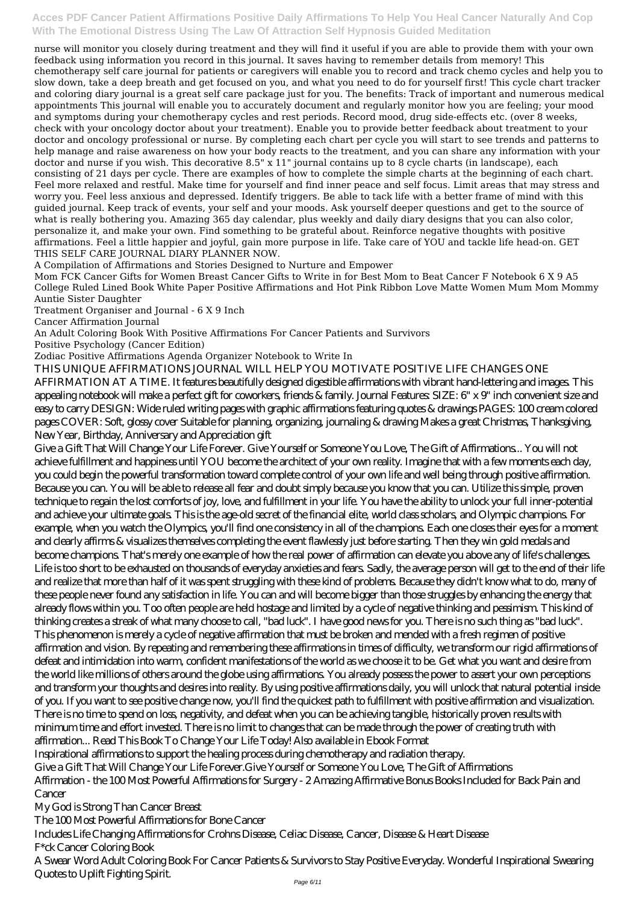nurse will monitor you closely during treatment and they will find it useful if you are able to provide them with your own feedback using information you record in this journal. It saves having to remember details from memory! This chemotherapy self care journal for patients or caregivers will enable you to record and track chemo cycles and help you to slow down, take a deep breath and get focused on you, and what you need to do for yourself first! This cycle chart tracker and coloring diary journal is a great self care package just for you. The benefits: Track of important and numerous medical appointments This journal will enable you to accurately document and regularly monitor how you are feeling; your mood and symptoms during your chemotherapy cycles and rest periods. Record mood, drug side-effects etc. (over 8 weeks, check with your oncology doctor about your treatment). Enable you to provide better feedback about treatment to your doctor and oncology professional or nurse. By completing each chart per cycle you will start to see trends and patterns to help manage and raise awareness on how your body reacts to the treatment, and you can share any information with your doctor and nurse if you wish. This decorative 8.5" x 11" journal contains up to 8 cycle charts (in landscape), each consisting of 21 days per cycle. There are examples of how to complete the simple charts at the beginning of each chart. Feel more relaxed and restful. Make time for yourself and find inner peace and self focus. Limit areas that may stress and worry you. Feel less anxious and depressed. Identify triggers. Be able to tack life with a better frame of mind with this guided journal. Keep track of events, your self and your moods. Ask yourself deeper questions and get to the source of what is really bothering you. Amazing 365 day calendar, plus weekly and daily diary designs that you can also color, personalize it, and make your own. Find something to be grateful about. Reinforce negative thoughts with positive affirmations. Feel a little happier and joyful, gain more purpose in life. Take care of YOU and tackle life head-on. GET THIS SELF CARE JOURNAL DIARY PLANNER NOW.

Give a Gift That Will Change Your Life Forever. Give Yourself or Someone You Love, The Gift of Affirmations... You will not achieve fulfillment and happiness until YOU become the architect of your own reality. Imagine that with a few moments each day, you could begin the powerful transformation toward complete control of your own life and well being through positive affirmation. Because you can. You will be able to release all fear and doubt simply because you know that you can. Utilize this simple, proven technique to regain the lost comforts of joy, love, and fulfillment in your life. You have the ability to unlock your full inner-potential and achieve your ultimate goals. This is the age-old secret of the financial elite, world class scholars, and Olympic champions. For example, when you watch the Olympics, you'll find one consistency in all of the champions. Each one closes their eyes for a moment and clearly affirms & visualizes themselves completing the event flawlessly just before starting. Then they win gold medals and become champions. That's merely one example of how the real power of affirmation can elevate you above any of life's challenges. Life is too short to be exhausted on thousands of everyday anxieties and fears. Sadly, the average person will get to the end of their life and realize that more than half of it was spent struggling with these kind of problems. Because they didn't know what to do, many of these people never found any satisfaction in life. You can and will become bigger than those struggles by enhancing the energy that already flows within you. Too often people are held hostage and limited by a cycle of negative thinking and pessimism. This kind of thinking creates a streak of what many choose to call, "bad luck". I have good news for you. There is no such thing as "bad luck". This phenomenon is merely a cycle of negative affirmation that must be broken and mended with a fresh regimen of positive affirmation and vision. By repeating and remembering these affirmations in times of difficulty, we transform our rigid affirmations of defeat and intimidation into warm, confident manifestations of the world as we choose it to be. Get what you want and desire from the world like millions of others around the globe using affirmations. You already possess the power to assert your own perceptions and transform your thoughts and desires into reality. By using positive affirmations daily, you will unlock that natural potential inside of you. If you want to see positive change now, you'll find the quickest path to fulfillment with positive affirmation and visualization. There is no time to spend on loss, negativity, and defeat when you can be achieving tangible, historically proven results with minimum time and effort invested. There is no limit to changes that can be made through the power of creating truth with affirmation... Read This Book To Change Your Life Today! Also available in Ebook Format Inspirational affirmations to support the healing process during chemotherapy and radiation therapy. Give a Gift That Will Change Your Life Forever.Give Yourself or Someone You Love, The Gift of Affirmations Affirmation - the 100 Most Powerful Affirmations for Surgery - 2 Amazing Affirmative Bonus Books Included for Back Pain and **Cancer** 

A Compilation of Affirmations and Stories Designed to Nurture and Empower

Mom FCK Cancer Gifts for Women Breast Cancer Gifts to Write in for Best Mom to Beat Cancer F Notebook 6 X 9 A5 College Ruled Lined Book White Paper Positive Affirmations and Hot Pink Ribbon Love Matte Women Mum Mom Mommy Auntie Sister Daughter

Treatment Organiser and Journal - 6 X 9 Inch

Cancer Affirmation Journal

An Adult Coloring Book With Positive Affirmations For Cancer Patients and Survivors

Positive Psychology (Cancer Edition)

Zodiac Positive Affirmations Agenda Organizer Notebook to Write In

THIS UNIQUE AFFIRMATIONS JOURNAL WILL HELP YOU MOTIVATE POSITIVE LIFE CHANGES ONE

AFFIRMATION AT A TIME. It features beautifully designed digestible affirmations with vibrant hand-lettering and images. This appealing notebook will make a perfect gift for coworkers, friends & family. Journal Features: SIZE: 6" x 9" inch convenient size and easy to carry DESIGN: Wide ruled writing pages with graphic affirmations featuring quotes & drawings PAGES: 100 cream colored pages COVER: Soft, glossy cover Suitable for planning, organizing, journaling & drawing Makes a great Christmas, Thanksgiving, New Year, Birthday, Anniversary and Appreciation gift

My God is Strong Than Cancer Breast The 100 Most Powerful Affirmations for Bone Cancer

Includes Life Changing Affirmations for Crohns Disease, Celiac Disease, Cancer, Disease & Heart Disease F\*ck Cancer Coloring Book

A Swear Word Adult Coloring Book For Cancer Patients & Survivors to Stay Positive Everyday. Wonderful Inspirational Swearing Quotes to Uplift Fighting Spirit.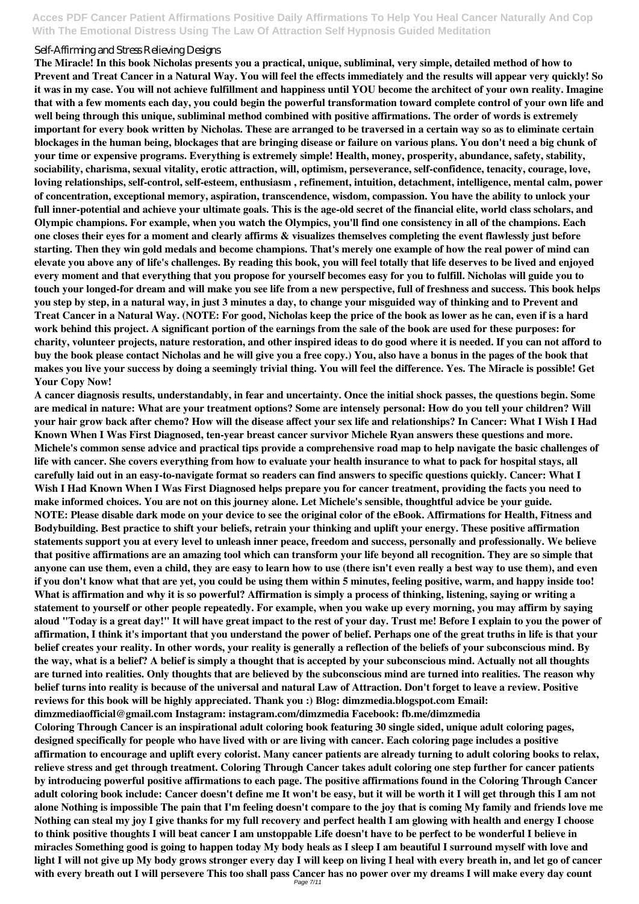#### Self-Affirming and Stress Relieving Designs

**The Miracle! In this book Nicholas presents you a practical, unique, subliminal, very simple, detailed method of how to Prevent and Treat Cancer in a Natural Way. You will feel the effects immediately and the results will appear very quickly! So it was in my case. You will not achieve fulfillment and happiness until YOU become the architect of your own reality. Imagine that with a few moments each day, you could begin the powerful transformation toward complete control of your own life and well being through this unique, subliminal method combined with positive affirmations. The order of words is extremely important for every book written by Nicholas. These are arranged to be traversed in a certain way so as to eliminate certain blockages in the human being, blockages that are bringing disease or failure on various plans. You don't need a big chunk of your time or expensive programs. Everything is extremely simple! Health, money, prosperity, abundance, safety, stability, sociability, charisma, sexual vitality, erotic attraction, will, optimism, perseverance, self-confidence, tenacity, courage, love, loving relationships, self-control, self-esteem, enthusiasm , refinement, intuition, detachment, intelligence, mental calm, power of concentration, exceptional memory, aspiration, transcendence, wisdom, compassion. You have the ability to unlock your full inner-potential and achieve your ultimate goals. This is the age-old secret of the financial elite, world class scholars, and Olympic champions. For example, when you watch the Olympics, you'll find one consistency in all of the champions. Each one closes their eyes for a moment and clearly affirms & visualizes themselves completing the event flawlessly just before starting. Then they win gold medals and become champions. That's merely one example of how the real power of mind can elevate you above any of life's challenges. By reading this book, you will feel totally that life deserves to be lived and enjoyed every moment and that everything that you propose for yourself becomes easy for you to fulfill. Nicholas will guide you to touch your longed-for dream and will make you see life from a new perspective, full of freshness and success. This book helps you step by step, in a natural way, in just 3 minutes a day, to change your misguided way of thinking and to Prevent and Treat Cancer in a Natural Way. (NOTE: For good, Nicholas keep the price of the book as lower as he can, even if is a hard work behind this project. A significant portion of the earnings from the sale of the book are used for these purposes: for charity, volunteer projects, nature restoration, and other inspired ideas to do good where it is needed. If you can not afford to buy the book please contact Nicholas and he will give you a free copy.) You, also have a bonus in the pages of the book that makes you live your success by doing a seemingly trivial thing. You will feel the difference. Yes. The Miracle is possible! Get Your Copy Now!**

**A cancer diagnosis results, understandably, in fear and uncertainty. Once the initial shock passes, the questions begin. Some are medical in nature: What are your treatment options? Some are intensely personal: How do you tell your children? Will your hair grow back after chemo? How will the disease affect your sex life and relationships? In Cancer: What I Wish I Had Known When I Was First Diagnosed, ten-year breast cancer survivor Michele Ryan answers these questions and more. Michele's common sense advice and practical tips provide a comprehensive road map to help navigate the basic challenges of life with cancer. She covers everything from how to evaluate your health insurance to what to pack for hospital stays, all carefully laid out in an easy-to-navigate format so readers can find answers to specific questions quickly. Cancer: What I Wish I Had Known When I Was First Diagnosed helps prepare you for cancer treatment, providing the facts you need to make informed choices. You are not on this journey alone. Let Michele's sensible, thoughtful advice be your guide. NOTE: Please disable dark mode on your device to see the original color of the eBook. Affirmations for Health, Fitness and Bodybuilding. Best practice to shift your beliefs, retrain your thinking and uplift your energy. These positive affirmation statements support you at every level to unleash inner peace, freedom and success, personally and professionally. We believe that positive affirmations are an amazing tool which can transform your life beyond all recognition. They are so simple that anyone can use them, even a child, they are easy to learn how to use (there isn't even really a best way to use them), and even if you don't know what that are yet, you could be using them within 5 minutes, feeling positive, warm, and happy inside too! What is affirmation and why it is so powerful? Affirmation is simply a process of thinking, listening, saying or writing a statement to yourself or other people repeatedly. For example, when you wake up every morning, you may affirm by saying aloud "Today is a great day!" It will have great impact to the rest of your day. Trust me! Before I explain to you the power of affirmation, I think it's important that you understand the power of belief. Perhaps one of the great truths in life is that your belief creates your reality. In other words, your reality is generally a reflection of the beliefs of your subconscious mind. By the way, what is a belief? A belief is simply a thought that is accepted by your subconscious mind. Actually not all thoughts are turned into realities. Only thoughts that are believed by the subconscious mind are turned into realities. The reason why belief turns into reality is because of the universal and natural Law of Attraction. Don't forget to leave a review. Positive reviews for this book will be highly appreciated. Thank you :) Blog: dimzmedia.blogspot.com Email: dimzmediaofficial@gmail.com Instagram: instagram.com/dimzmedia Facebook: fb.me/dimzmedia Coloring Through Cancer is an inspirational adult coloring book featuring 30 single sided, unique adult coloring pages, designed specifically for people who have lived with or are living with cancer. Each coloring page includes a positive affirmation to encourage and uplift every colorist. Many cancer patients are already turning to adult coloring books to relax, relieve stress and get through treatment. Coloring Through Cancer takes adult coloring one step further for cancer patients by introducing powerful positive affirmations to each page. The positive affirmations found in the Coloring Through Cancer adult coloring book include: Cancer doesn't define me It won't be easy, but it will be worth it I will get through this I am not alone Nothing is impossible The pain that I'm feeling doesn't compare to the joy that is coming My family and friends love me Nothing can steal my joy I give thanks for my full recovery and perfect health I am glowing with health and energy I choose to think positive thoughts I will beat cancer I am unstoppable Life doesn't have to be perfect to be wonderful I believe in miracles Something good is going to happen today My body heals as I sleep I am beautiful I surround myself with love and light I will not give up My body grows stronger every day I will keep on living I heal with every breath in, and let go of cancer with every breath out I will persevere This too shall pass Cancer has no power over my dreams I will make every day count** Page 7/11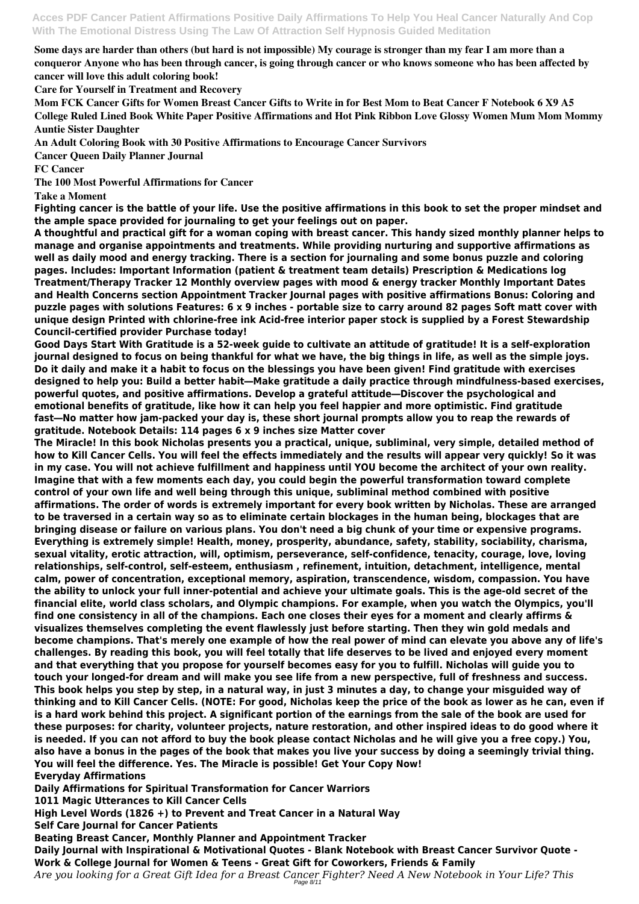**Some days are harder than others (but hard is not impossible) My courage is stronger than my fear I am more than a conqueror Anyone who has been through cancer, is going through cancer or who knows someone who has been affected by cancer will love this adult coloring book!**

**Care for Yourself in Treatment and Recovery**

**Mom FCK Cancer Gifts for Women Breast Cancer Gifts to Write in for Best Mom to Beat Cancer F Notebook 6 X9 A5 College Ruled Lined Book White Paper Positive Affirmations and Hot Pink Ribbon Love Glossy Women Mum Mom Mommy Auntie Sister Daughter**

**An Adult Coloring Book with 30 Positive Affirmations to Encourage Cancer Survivors**

**Cancer Queen Daily Planner Journal**

**FC Cancer**

**The 100 Most Powerful Affirmations for Cancer**

**Take a Moment**

**Fighting cancer is the battle of your life. Use the positive affirmations in this book to set the proper mindset and the ample space provided for journaling to get your feelings out on paper.**

**A thoughtful and practical gift for a woman coping with breast cancer. This handy sized monthly planner helps to manage and organise appointments and treatments. While providing nurturing and supportive affirmations as well as daily mood and energy tracking. There is a section for journaling and some bonus puzzle and coloring pages. Includes: Important Information (patient & treatment team details) Prescription & Medications log Treatment/Therapy Tracker 12 Monthly overview pages with mood & energy tracker Monthly Important Dates and Health Concerns section Appointment Tracker Journal pages with positive affirmations Bonus: Coloring and puzzle pages with solutions Features: 6 x 9 inches - portable size to carry around 82 pages Soft matt cover with unique design Printed with chlorine-free ink Acid-free interior paper stock is supplied by a Forest Stewardship Council-certified provider Purchase today!**

**Good Days Start With Gratitude is a 52-week guide to cultivate an attitude of gratitude! It is a self-exploration journal designed to focus on being thankful for what we have, the big things in life, as well as the simple joys. Do it daily and make it a habit to focus on the blessings you have been given! Find gratitude with exercises designed to help you: Build a better habit―Make gratitude a daily practice through mindfulness-based exercises, powerful quotes, and positive affirmations. Develop a grateful attitude―Discover the psychological and emotional benefits of gratitude, like how it can help you feel happier and more optimistic. Find gratitude fast―No matter how jam-packed your day is, these short journal prompts allow you to reap the rewards of gratitude. Notebook Details: 114 pages 6 x 9 inches size Matter cover**

**The Miracle! In this book Nicholas presents you a practical, unique, subliminal, very simple, detailed method of how to Kill Cancer Cells. You will feel the effects immediately and the results will appear very quickly! So it was in my case. You will not achieve fulfillment and happiness until YOU become the architect of your own reality. Imagine that with a few moments each day, you could begin the powerful transformation toward complete control of your own life and well being through this unique, subliminal method combined with positive affirmations. The order of words is extremely important for every book written by Nicholas. These are arranged to be traversed in a certain way so as to eliminate certain blockages in the human being, blockages that are bringing disease or failure on various plans. You don't need a big chunk of your time or expensive programs. Everything is extremely simple! Health, money, prosperity, abundance, safety, stability, sociability, charisma, sexual vitality, erotic attraction, will, optimism, perseverance, self-confidence, tenacity, courage, love, loving relationships, self-control, self-esteem, enthusiasm , refinement, intuition, detachment, intelligence, mental calm, power of concentration, exceptional memory, aspiration, transcendence, wisdom, compassion. You have the ability to unlock your full inner-potential and achieve your ultimate goals. This is the age-old secret of the financial elite, world class scholars, and Olympic champions. For example, when you watch the Olympics, you'll find one consistency in all of the champions. Each one closes their eyes for a moment and clearly affirms & visualizes themselves completing the event flawlessly just before starting. Then they win gold medals and become champions. That's merely one example of how the real power of mind can elevate you above any of life's challenges. By reading this book, you will feel totally that life deserves to be lived and enjoyed every moment and that everything that you propose for yourself becomes easy for you to fulfill. Nicholas will guide you to touch your longed-for dream and will make you see life from a new perspective, full of freshness and success. This book helps you step by step, in a natural way, in just 3 minutes a day, to change your misguided way of thinking and to Kill Cancer Cells. (NOTE: For good, Nicholas keep the price of the book as lower as he can, even if is a hard work behind this project. A significant portion of the earnings from the sale of the book are used for these purposes: for charity, volunteer projects, nature restoration, and other inspired ideas to do good where it is needed. If you can not afford to buy the book please contact Nicholas and he will give you a free copy.) You, also have a bonus in the pages of the book that makes you live your success by doing a seemingly trivial thing. You will feel the difference. Yes. The Miracle is possible! Get Your Copy Now! Everyday Affirmations Daily Affirmations for Spiritual Transformation for Cancer Warriors 1011 Magic Utterances to Kill Cancer Cells High Level Words (1826 +) to Prevent and Treat Cancer in a Natural Way Self Care Journal for Cancer Patients Beating Breast Cancer, Monthly Planner and Appointment Tracker Daily Journal with Inspirational & Motivational Quotes - Blank Notebook with Breast Cancer Survivor Quote - Work & College Journal for Women & Teens - Great Gift for Coworkers, Friends & Family** *Are you looking for a Great Gift Idea for a Breast Cancer Fighter? Need A New Notebook in Your Life? This* Page 8/11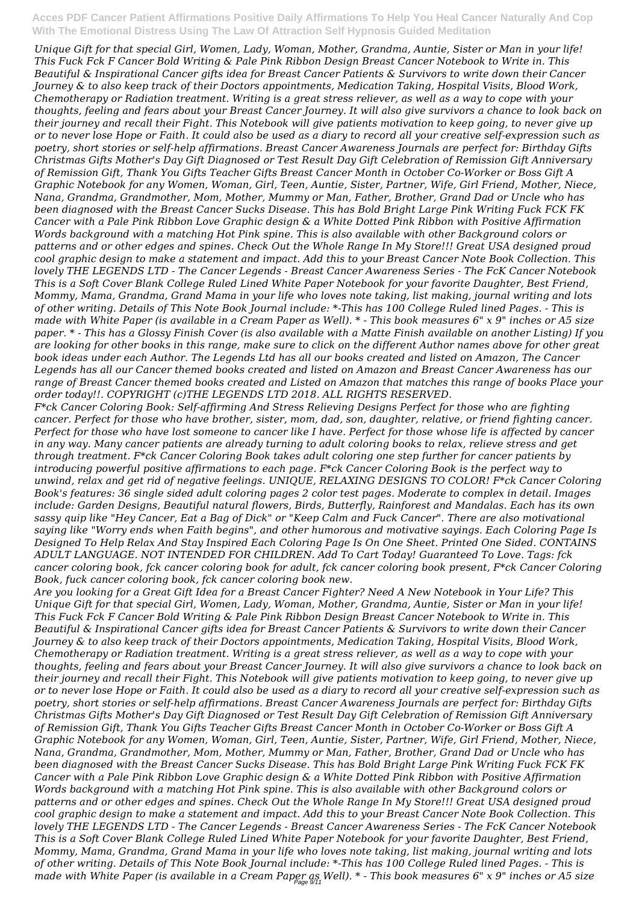*Unique Gift for that special Girl, Women, Lady, Woman, Mother, Grandma, Auntie, Sister or Man in your life! This Fuck Fck F Cancer Bold Writing & Pale Pink Ribbon Design Breast Cancer Notebook to Write in. This Beautiful & Inspirational Cancer gifts idea for Breast Cancer Patients & Survivors to write down their Cancer Journey & to also keep track of their Doctors appointments, Medication Taking, Hospital Visits, Blood Work, Chemotherapy or Radiation treatment. Writing is a great stress reliever, as well as a way to cope with your thoughts, feeling and fears about your Breast Cancer Journey. It will also give survivors a chance to look back on their journey and recall their Fight. This Notebook will give patients motivation to keep going, to never give up or to never lose Hope or Faith. It could also be used as a diary to record all your creative self-expression such as poetry, short stories or self-help affirmations. Breast Cancer Awareness Journals are perfect for: Birthday Gifts Christmas Gifts Mother's Day Gift Diagnosed or Test Result Day Gift Celebration of Remission Gift Anniversary of Remission Gift, Thank You Gifts Teacher Gifts Breast Cancer Month in October Co-Worker or Boss Gift A Graphic Notebook for any Women, Woman, Girl, Teen, Auntie, Sister, Partner, Wife, Girl Friend, Mother, Niece, Nana, Grandma, Grandmother, Mom, Mother, Mummy or Man, Father, Brother, Grand Dad or Uncle who has been diagnosed with the Breast Cancer Sucks Disease. This has Bold Bright Large Pink Writing Fuck FCK FK Cancer with a Pale Pink Ribbon Love Graphic design & a White Dotted Pink Ribbon with Positive Affirmation Words background with a matching Hot Pink spine. This is also available with other Background colors or patterns and or other edges and spines. Check Out the Whole Range In My Store!!! Great USA designed proud cool graphic design to make a statement and impact. Add this to your Breast Cancer Note Book Collection. This lovely THE LEGENDS LTD - The Cancer Legends - Breast Cancer Awareness Series - The FcK Cancer Notebook This is a Soft Cover Blank College Ruled Lined White Paper Notebook for your favorite Daughter, Best Friend, Mommy, Mama, Grandma, Grand Mama in your life who loves note taking, list making, journal writing and lots of other writing. Details of This Note Book Journal include: \*-This has 100 College Ruled lined Pages. - This is made with White Paper (is available in a Cream Paper as Well). \* - This book measures 6" x 9" inches or A5 size paper. \* - This has a Glossy Finish Cover (is also available with a Matte Finish available on another Listing) If you are looking for other books in this range, make sure to click on the different Author names above for other great book ideas under each Author. The Legends Ltd has all our books created and listed on Amazon, The Cancer Legends has all our Cancer themed books created and listed on Amazon and Breast Cancer Awareness has our range of Breast Cancer themed books created and Listed on Amazon that matches this range of books Place your order today!!. COPYRIGHT (c)THE LEGENDS LTD 2018. ALL RIGHTS RESERVED.*

*F\*ck Cancer Coloring Book: Self-affirming And Stress Relieving Designs Perfect for those who are fighting cancer. Perfect for those who have brother, sister, mom, dad, son, daughter, relative, or friend fighting cancer. Perfect for those who have lost someone to cancer like I have. Perfect for those whose life is affected by cancer in any way. Many cancer patients are already turning to adult coloring books to relax, relieve stress and get through treatment. F\*ck Cancer Coloring Book takes adult coloring one step further for cancer patients by introducing powerful positive affirmations to each page. F\*ck Cancer Coloring Book is the perfect way to unwind, relax and get rid of negative feelings. UNIQUE, RELAXING DESIGNS TO COLOR! F\*ck Cancer Coloring Book's features: 36 single sided adult coloring pages 2 color test pages. Moderate to complex in detail. Images include: Garden Designs, Beautiful natural flowers, Birds, Butterfly, Rainforest and Mandalas. Each has its own sassy quip like "Hey Cancer, Eat a Bag of Dick" or "Keep Calm and Fuck Cancer". There are also motivational saying like "Worry ends when Faith begins", and other humorous and motivative sayings. Each Coloring Page Is Designed To Help Relax And Stay Inspired Each Coloring Page Is On One Sheet. Printed One Sided. CONTAINS ADULT LANGUAGE. NOT INTENDED FOR CHILDREN. Add To Cart Today! Guaranteed To Love. Tags: fck cancer coloring book, fck cancer coloring book for adult, fck cancer coloring book present, F\*ck Cancer Coloring Book, fuck cancer coloring book, fck cancer coloring book new.*

*Are you looking for a Great Gift Idea for a Breast Cancer Fighter? Need A New Notebook in Your Life? This Unique Gift for that special Girl, Women, Lady, Woman, Mother, Grandma, Auntie, Sister or Man in your life! This Fuck Fck F Cancer Bold Writing & Pale Pink Ribbon Design Breast Cancer Notebook to Write in. This Beautiful & Inspirational Cancer gifts idea for Breast Cancer Patients & Survivors to write down their Cancer Journey & to also keep track of their Doctors appointments, Medication Taking, Hospital Visits, Blood Work, Chemotherapy or Radiation treatment. Writing is a great stress reliever, as well as a way to cope with your thoughts, feeling and fears about your Breast Cancer Journey. It will also give survivors a chance to look back on their journey and recall their Fight. This Notebook will give patients motivation to keep going, to never give up or to never lose Hope or Faith. It could also be used as a diary to record all your creative self-expression such as poetry, short stories or self-help affirmations. Breast Cancer Awareness Journals are perfect for: Birthday Gifts Christmas Gifts Mother's Day Gift Diagnosed or Test Result Day Gift Celebration of Remission Gift Anniversary of Remission Gift, Thank You Gifts Teacher Gifts Breast Cancer Month in October Co-Worker or Boss Gift A Graphic Notebook for any Women, Woman, Girl, Teen, Auntie, Sister, Partner, Wife, Girl Friend, Mother, Niece, Nana, Grandma, Grandmother, Mom, Mother, Mummy or Man, Father, Brother, Grand Dad or Uncle who has been diagnosed with the Breast Cancer Sucks Disease. This has Bold Bright Large Pink Writing Fuck FCK FK Cancer with a Pale Pink Ribbon Love Graphic design & a White Dotted Pink Ribbon with Positive Affirmation Words background with a matching Hot Pink spine. This is also available with other Background colors or patterns and or other edges and spines. Check Out the Whole Range In My Store!!! Great USA designed proud cool graphic design to make a statement and impact. Add this to your Breast Cancer Note Book Collection. This lovely THE LEGENDS LTD - The Cancer Legends - Breast Cancer Awareness Series - The FcK Cancer Notebook This is a Soft Cover Blank College Ruled Lined White Paper Notebook for your favorite Daughter, Best Friend, Mommy, Mama, Grandma, Grand Mama in your life who loves note taking, list making, journal writing and lots of other writing. Details of This Note Book Journal include: \*-This has 100 College Ruled lined Pages. - This is made with White Paper (is available in a Cream Paper as Well). \* - This book measures 6" x 9" inches or A5 size* Page 9/11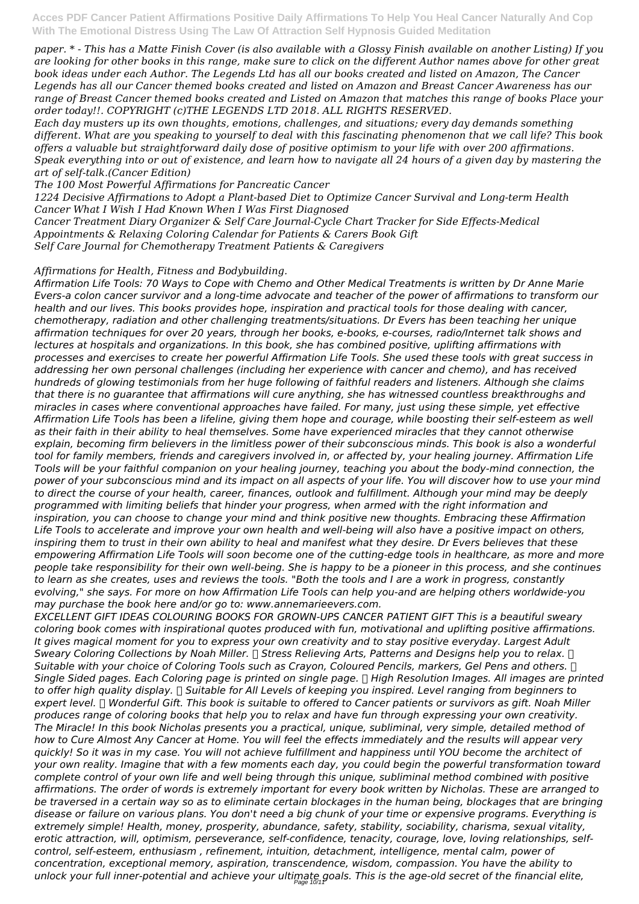*paper. \* - This has a Matte Finish Cover (is also available with a Glossy Finish available on another Listing) If you are looking for other books in this range, make sure to click on the different Author names above for other great book ideas under each Author. The Legends Ltd has all our books created and listed on Amazon, The Cancer Legends has all our Cancer themed books created and listed on Amazon and Breast Cancer Awareness has our range of Breast Cancer themed books created and Listed on Amazon that matches this range of books Place your order today!!. COPYRIGHT (c)THE LEGENDS LTD 2018. ALL RIGHTS RESERVED.*

*Each day musters up its own thoughts, emotions, challenges, and situations; every day demands something different. What are you speaking to yourself to deal with this fascinating phenomenon that we call life? This book offers a valuable but straightforward daily dose of positive optimism to your life with over 200 affirmations. Speak everything into or out of existence, and learn how to navigate all 24 hours of a given day by mastering the art of self-talk.(Cancer Edition)*

*The 100 Most Powerful Affirmations for Pancreatic Cancer*

*1224 Decisive Affirmations to Adopt a Plant-based Diet to Optimize Cancer Survival and Long-term Health Cancer What I Wish I Had Known When I Was First Diagnosed Cancer Treatment Diary Organizer & Self Care Journal-Cycle Chart Tracker for Side Effects-Medical*

*Appointments & Relaxing Coloring Calendar for Patients & Carers Book Gift*

*Self Care Journal for Chemotherapy Treatment Patients & Caregivers*

### *Affirmations for Health, Fitness and Bodybuilding.*

*Affirmation Life Tools: 70 Ways to Cope with Chemo and Other Medical Treatments is written by Dr Anne Marie Evers-a colon cancer survivor and a long-time advocate and teacher of the power of affirmations to transform our health and our lives. This books provides hope, inspiration and practical tools for those dealing with cancer, chemotherapy, radiation and other challenging treatments/situations. Dr Evers has been teaching her unique affirmation techniques for over 20 years, through her books, e-books, e-courses, radio/Internet talk shows and lectures at hospitals and organizations. In this book, she has combined positive, uplifting affirmations with processes and exercises to create her powerful Affirmation Life Tools. She used these tools with great success in addressing her own personal challenges (including her experience with cancer and chemo), and has received hundreds of glowing testimonials from her huge following of faithful readers and listeners. Although she claims that there is no guarantee that affirmations will cure anything, she has witnessed countless breakthroughs and miracles in cases where conventional approaches have failed. For many, just using these simple, yet effective Affirmation Life Tools has been a lifeline, giving them hope and courage, while boosting their self-esteem as well as their faith in their ability to heal themselves. Some have experienced miracles that they cannot otherwise explain, becoming firm believers in the limitless power of their subconscious minds. This book is also a wonderful tool for family members, friends and caregivers involved in, or affected by, your healing journey. Affirmation Life Tools will be your faithful companion on your healing journey, teaching you about the body-mind connection, the power of your subconscious mind and its impact on all aspects of your life. You will discover how to use your mind to direct the course of your health, career, finances, outlook and fulfillment. Although your mind may be deeply programmed with limiting beliefs that hinder your progress, when armed with the right information and inspiration, you can choose to change your mind and think positive new thoughts. Embracing these Affirmation Life Tools to accelerate and improve your own health and well-being will also have a positive impact on others, inspiring them to trust in their own ability to heal and manifest what they desire. Dr Evers believes that these empowering Affirmation Life Tools will soon become one of the cutting-edge tools in healthcare, as more and more people take responsibility for their own well-being. She is happy to be a pioneer in this process, and she continues to learn as she creates, uses and reviews the tools. "Both the tools and I are a work in progress, constantly evolving," she says. For more on how Affirmation Life Tools can help you-and are helping others worldwide-you may purchase the book here and/or go to: www.annemarieevers.com.*

*EXCELLENT GIFT IDEAS COLOURING BOOKS FOR GROWN-UPS CANCER PATIENT GIFT This is a beautiful sweary coloring book comes with inspirational quotes produced with fun, motivational and uplifting positive affirmations. It gives magical moment for you to express your own creativity and to stay positive everyday. Largest Adult Sweary Coloring Collections by Noah Miller.* □ Stress Relieving Arts, Patterns and Designs help you to relax. □ *Suitable with your choice of Coloring Tools such as Crayon, Coloured Pencils, markers, Gel Pens and others. ✅ Single Sided pages. Each Coloring page is printed on single page. ✅ High Resolution Images. All images are printed to offer high quality display. ✅ Suitable for All Levels of keeping you inspired. Level ranging from beginners to expert level. ✅ Wonderful Gift. This book is suitable to offered to Cancer patients or survivors as gift. Noah Miller produces range of coloring books that help you to relax and have fun through expressing your own creativity. The Miracle! In this book Nicholas presents you a practical, unique, subliminal, very simple, detailed method of how to Cure Almost Any Cancer at Home. You will feel the effects immediately and the results will appear very quickly! So it was in my case. You will not achieve fulfillment and happiness until YOU become the architect of your own reality. Imagine that with a few moments each day, you could begin the powerful transformation toward complete control of your own life and well being through this unique, subliminal method combined with positive affirmations. The order of words is extremely important for every book written by Nicholas. These are arranged to be traversed in a certain way so as to eliminate certain blockages in the human being, blockages that are bringing disease or failure on various plans. You don't need a big chunk of your time or expensive programs. Everything is extremely simple! Health, money, prosperity, abundance, safety, stability, sociability, charisma, sexual vitality, erotic attraction, will, optimism, perseverance, self-confidence, tenacity, courage, love, loving relationships, selfcontrol, self-esteem, enthusiasm , refinement, intuition, detachment, intelligence, mental calm, power of concentration, exceptional memory, aspiration, transcendence, wisdom, compassion. You have the ability to unlock your full inner-potential and achieve your ultimate goals. This is the age-old secret of the financial elite,* Page 10/11